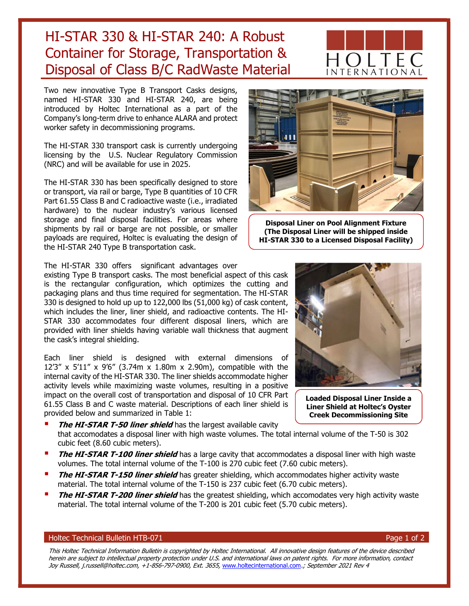Two new innovative Type B Transport Casks designs, named HI-STAR 330 and HI-STAR 240, are being introduced by Holtec International as a part of the Company's long-term drive to enhance ALARA and protect worker safety in decommissioning programs.

HI-STAR 330 & HI-STAR 240: A Robust

Container for Storage, Transportation &

Disposal of Class B/C RadWaste Material

The HI-STAR 330 transport cask is currently undergoing licensing by the U.S. Nuclear Regulatory Commission (NRC) and will be available for use in 2025.

The HI-STAR 330 has been specifically designed to store or transport, via rail or barge, Type B quantities of 10 CFR Part 61.55 Class B and C radioactive waste (i.e., irradiated hardware) to the nuclear industry's various licensed storage and final disposal facilities. For areas where shipments by rail or barge are not possible, or smaller payloads are required, Holtec is evaluating the design of the HI-STAR 240 Type B transportation cask.

The HI-STAR 330 offers significant advantages over

existing Type B transport casks. The most beneficial aspect of this cask is the rectangular configuration, which optimizes the cutting and packaging plans and thus time required for segmentation. The HI-STAR 330 is designed to hold up up to 122,000 lbs (51,000 kg) of cask content, which includes the liner, liner shield, and radioactive contents. The HI-STAR 330 accommodates four different disposal liners, which are provided with liner shields having variable wall thickness that augment the cask's integral shielding.

Each liner shield is designed with external dimensions of 12'3" x 5'11" x 9'6" (3.74m x 1.80m x 2.90m), compatible with the internal cavity of the HI-STAR 330. The liner shields accommodate higher activity levels while maximizing waste volumes, resulting in a positive impact on the overall cost of transportation and disposal of 10 CFR Part 61.55 Class B and C waste material. Descriptions of each liner shield is provided below and summarized in Table 1:

- The HI-STAR T-50 liner shield has the largest available cavity that accomodates a disposal liner with high waste volumes. The total internal volume of the T-50 is 302 cubic feet (8.60 cubic meters).
- The HI-STAR T-100 liner shield has a large cavity that accommodates a disposal liner with high waste volumes. The total internal volume of the T-100 is 270 cubic feet (7.60 cubic meters).
- **The HI-STAR T-150 liner shield** has greater shielding, which accommodates higher activity waste material. The total internal volume of the T-150 is 237 cubic feet (6.70 cubic meters).
- The HI-STAR T-200 liner shield has the greatest shielding, which accomodates very high activity waste material. The total internal volume of the T-200 is 201 cubic feet (5.70 cubic meters).

## Holtec Technical Bulletin HTB-071 Page 1 of 2

This Holtec Technical Information Bulletin is copyrighted by Holtec International. All innovative design features of the device described herein are subject to intellectual property protection under U.S. and international laws on patent rights. For more information, contact Joy Russell, j.russell@holtec.com, +1-856-797-0900, Ext. 3655, www.holtecinternational.com.; September 2021 Rev 4

### Disposal Liner on Pool Alignment Fixture (The Disposal Liner will be shipped inside HI-STAR 330 to a Licensed Disposal Facility)